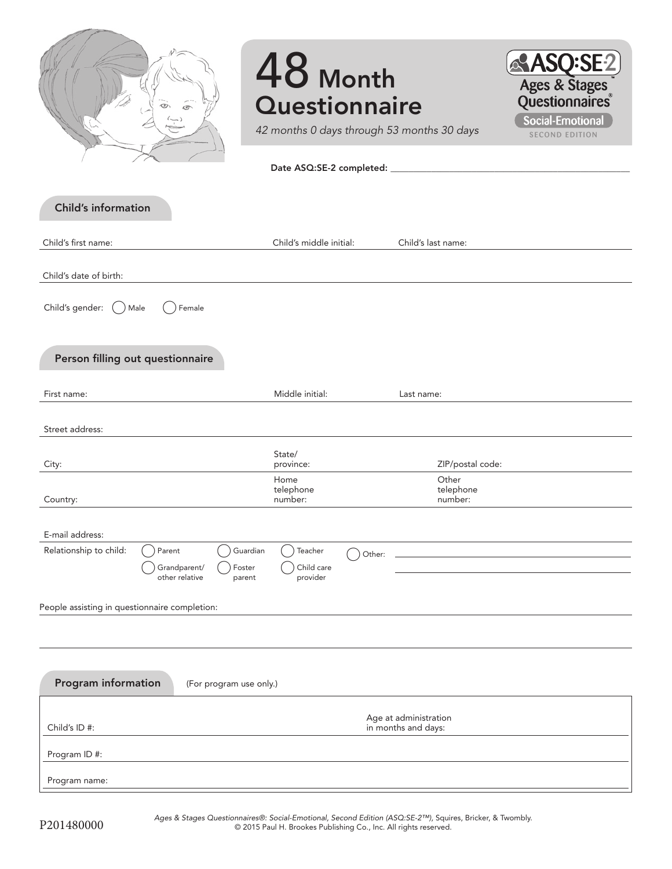|                                               | o                                        |                              | 48 Month<br><b>Questionnaire</b>  |        | 42 months 0 days through 53 months 30 days | <b>ASQ:SE2</b><br>Ages & Stages<br><b>Social-Emotional</b><br><b>SECOND EDITION</b> |
|-----------------------------------------------|------------------------------------------|------------------------------|-----------------------------------|--------|--------------------------------------------|-------------------------------------------------------------------------------------|
| <b>Child's information</b>                    |                                          |                              |                                   |        |                                            |                                                                                     |
| Child's first name:                           |                                          |                              | Child's middle initial:           |        | Child's last name:                         |                                                                                     |
| Child's date of birth:                        |                                          |                              |                                   |        |                                            |                                                                                     |
| Child's gender: (<br>Male                     | Female                                   |                              |                                   |        |                                            |                                                                                     |
| Person filling out questionnaire              |                                          |                              |                                   |        |                                            |                                                                                     |
| First name:                                   |                                          |                              | Middle initial:                   |        | Last name:                                 |                                                                                     |
| Street address:                               |                                          |                              |                                   |        |                                            |                                                                                     |
|                                               |                                          |                              | State/                            |        |                                            |                                                                                     |
| City:                                         |                                          |                              | province:<br>Home                 |        | ZIP/postal code:<br>Other                  |                                                                                     |
| Country:                                      |                                          |                              | telephone<br>number:              |        | telephone<br>number:                       |                                                                                     |
| E-mail address:                               |                                          |                              |                                   |        |                                            |                                                                                     |
| Relationship to child:                        | Parent<br>Grandparent/<br>other relative | Guardian<br>Foster<br>parent | Teacher<br>Child care<br>provider | Other: |                                            |                                                                                     |
| People assisting in questionnaire completion: |                                          |                              |                                   |        |                                            |                                                                                     |
|                                               |                                          |                              |                                   |        |                                            |                                                                                     |
| Program information                           |                                          | (For program use only.)      |                                   |        |                                            |                                                                                     |
|                                               |                                          |                              |                                   |        | Age at administration                      |                                                                                     |
| Child's ID#:                                  |                                          |                              |                                   |        | in months and days:                        |                                                                                     |
| Program ID #:                                 |                                          |                              |                                   |        |                                            |                                                                                     |

Program name: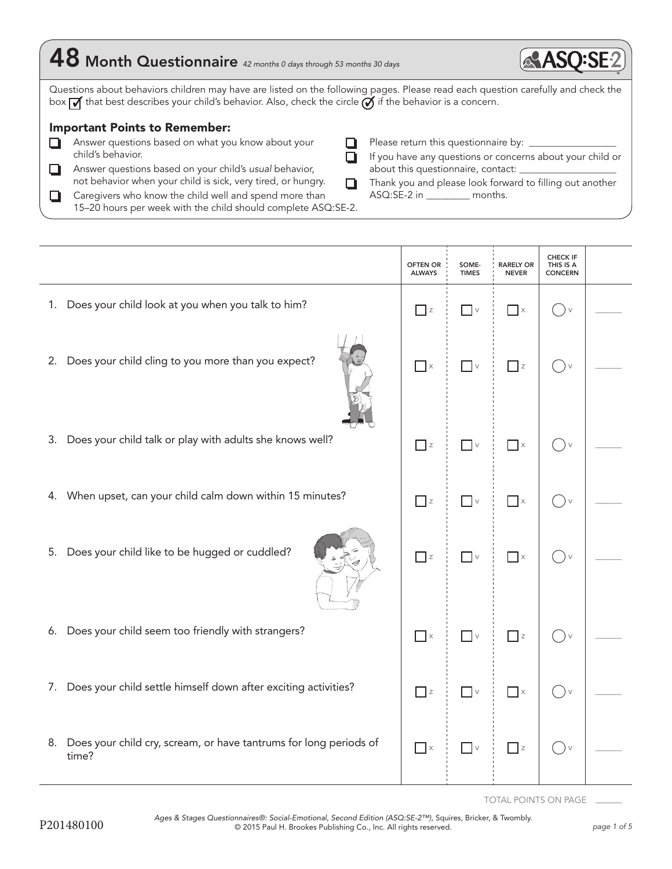| 48 Month Questionnaire 42 months 0 days through 53 months 30 days                                                                                                                                                                                              | <b>ASO:S</b>                                                                                                     |
|----------------------------------------------------------------------------------------------------------------------------------------------------------------------------------------------------------------------------------------------------------------|------------------------------------------------------------------------------------------------------------------|
| Questions about behaviors children may have are listed on the following pages. Please read each question carefully and check the<br>box $\sqrt{ }$ that best describes your child's behavior. Also, check the circle $\tilde{Q}$ if the behavior is a concern. |                                                                                                                  |
| <b>Important Points to Remember:</b>                                                                                                                                                                                                                           |                                                                                                                  |
| Answer questions based on what you know about your<br>child's behavior.                                                                                                                                                                                        | Please return this questionnaire by: ______________<br>If you have any questions or concerns about your child or |
| Answer questions based on your child's usual behavior,<br>not behavior when your child is sick, very tired, or hungry.                                                                                                                                         | about this questionnaire, contact: ___________<br>Thank you and please look forward to filling out another       |
| Caregivers who know the child well and spend more than<br>15-20 hours per week with the child should complete ASQ:SE-2.                                                                                                                                        | ASQ:SE-2 in ___________ months.                                                                                  |

Ť

Ť.

|                                                                                  | <b>OFTEN OR</b><br><b>ALWAYS</b> | SOME-<br><b>TIMES</b>           | <b>RARELY OR</b><br><b>NEVER</b>  | <b>CHECK IF</b><br>THIS IS A<br><b>CONCERN</b> |  |
|----------------------------------------------------------------------------------|----------------------------------|---------------------------------|-----------------------------------|------------------------------------------------|--|
| 1. Does your child look at you when you talk to him?                             | $\overline{\phantom{a}}$ z       | $\hfill\ensuremath{\mathsf{V}}$ | $\mathbb{R}$ $\times$             | $\vee$                                         |  |
| 2. Does your child cling to you more than you expect?                            | $\Box$ $\times$                  | $\hfill\ensuremath{\mathsf{V}}$ | $\Box$ z                          | $(\ )_{\vee}$                                  |  |
| 3. Does your child talk or play with adults she knows well?                      | $\Box$ z                         | $\overline{\phantom{a}}$ v      | $\overline{\phantom{a}}$ x        | $()$ v                                         |  |
| 4. When upset, can your child calm down within 15 minutes?                       | $\Box$ z                         | $\hfill\ensuremath{\mathsf{V}}$ | $\Box$ x                          | $( )_v$                                        |  |
| Does your child like to be hugged or cuddled?<br>5.                              | $\Box$ z                         | $\hfill\ensuremath{\mathsf{V}}$ | $\Box$ x                          | $() \vee$                                      |  |
| 6. Does your child seem too friendly with strangers?                             | $\overline{\phantom{a}}$ x       | $\overline{\phantom{a}}$ v      | $\Box$ z                          | $()$ v                                         |  |
| 7. Does your child settle himself down after exciting activities?                | $\overline{\phantom{a}}$ z       | $\hfill\blacksquare$ $\lor$     | $\overline{\phantom{a}}$ $\times$ | $()$ v                                         |  |
| Does your child cry, scream, or have tantrums for long periods of<br>8.<br>time? | $\overline{\phantom{a}}$ x       | $\hfill\ensuremath{\mathsf{V}}$ | $\Box$ z                          | $(\ )_{\vee}$                                  |  |

TOTAL POINTS ON PAGE \_\_\_\_\_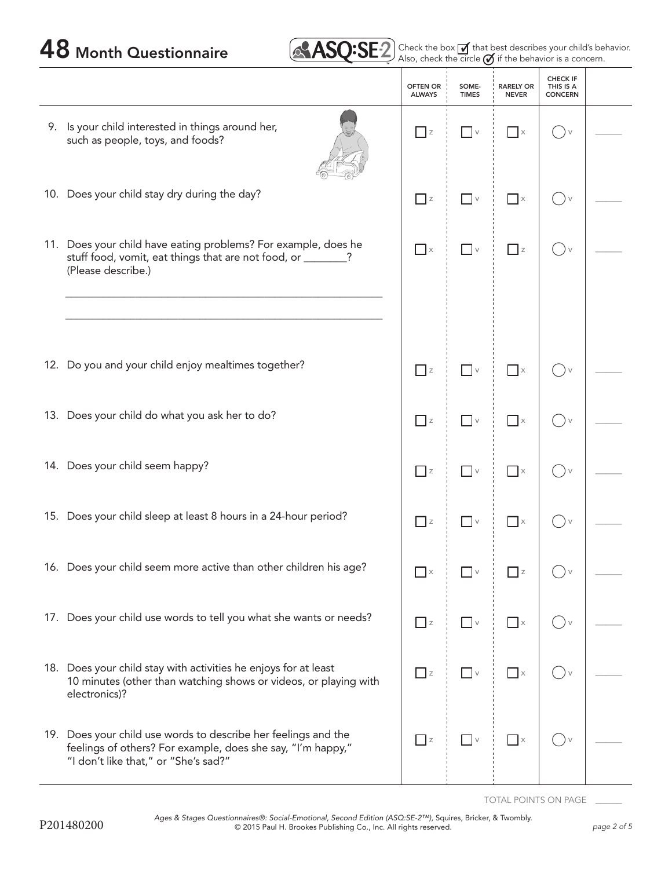| <b>ASO:S</b> | $\mathbf{P}$ | ⊏Ω∣∈ |  |
|--------------|--------------|------|--|
|              |              |      |  |

48 Month Questionnaire **2 Check the box of that best describes your child's behavior.** 

|                                                                                                                                                                       | <b>OFTEN OR</b><br><b>ALWAYS</b> | SOME-<br><b>TIMES</b>           | <b>RARELY OR</b><br><b>NEVER</b>  | <b>CHECK IF</b><br>THIS IS A<br><b>CONCERN</b> |  |
|-----------------------------------------------------------------------------------------------------------------------------------------------------------------------|----------------------------------|---------------------------------|-----------------------------------|------------------------------------------------|--|
| 9. Is your child interested in things around her,<br>such as people, toys, and foods?                                                                                 | $\Box$ z                         | $\overline{\phantom{a}}$ v      | $\mathbb{R}$ $\times$             | $\vee$<br>$\rightarrow$                        |  |
| 10. Does your child stay dry during the day?                                                                                                                          | $\Box$ z                         | $\Box$ v                        | $\Box$ x                          | $\bigcup$                                      |  |
| 11. Does your child have eating problems? For example, does he<br>stuff food, vomit, eat things that are not food, or _______?<br>(Please describe.)                  | $\Box$ x                         | $\overline{\phantom{a}}$ v      | $\Box$ z                          | $\rightarrow$                                  |  |
|                                                                                                                                                                       |                                  |                                 |                                   |                                                |  |
| 12. Do you and your child enjoy mealtimes together?                                                                                                                   | $\overline{z}$                   | $\overline{\phantom{a}}$ v      | $\Box$ x                          | $\bigvee$                                      |  |
| 13. Does your child do what you ask her to do?                                                                                                                        | $\overline{z}$                   | $\overline{\phantom{a}}$ v      | $\overline{\phantom{a}}$ x        | $()$ v                                         |  |
| 14. Does your child seem happy?                                                                                                                                       | $\Box$ z                         | $\hfill\ensuremath{\mathsf{V}}$ | $\overline{\phantom{a}}$ x        | ()v                                            |  |
| 15. Does your child sleep at least 8 hours in a 24-hour period?                                                                                                       | $\Box$ z                         | $\overline{\phantom{a}}$ v      | $\Box$ x                          |                                                |  |
| 16. Does your child seem more active than other children his age?                                                                                                     | $\overline{\phantom{a}}$ x       | $\Box$ v                        | $\overline{\phantom{a}}$ z        |                                                |  |
| 17. Does your child use words to tell you what she wants or needs?                                                                                                    | $\Box$ z                         | $\hfill\ensuremath{\mathsf{V}}$ | $\overline{\phantom{a}}$ $\times$ |                                                |  |
| 18. Does your child stay with activities he enjoys for at least<br>10 minutes (other than watching shows or videos, or playing with<br>electronics)?                  | $\overline{\phantom{a}}$ z       | $\overline{\phantom{a}}$ v      | $\Box$ $\times$                   |                                                |  |
| 19. Does your child use words to describe her feelings and the<br>feelings of others? For example, does she say, "I'm happy,"<br>"I don't like that," or "She's sad?" | $\Box$ z                         | $\hfill\blacksquare$ $\lor$     | $\Box$ x                          |                                                |  |

TOTAL POINTS ON PAGE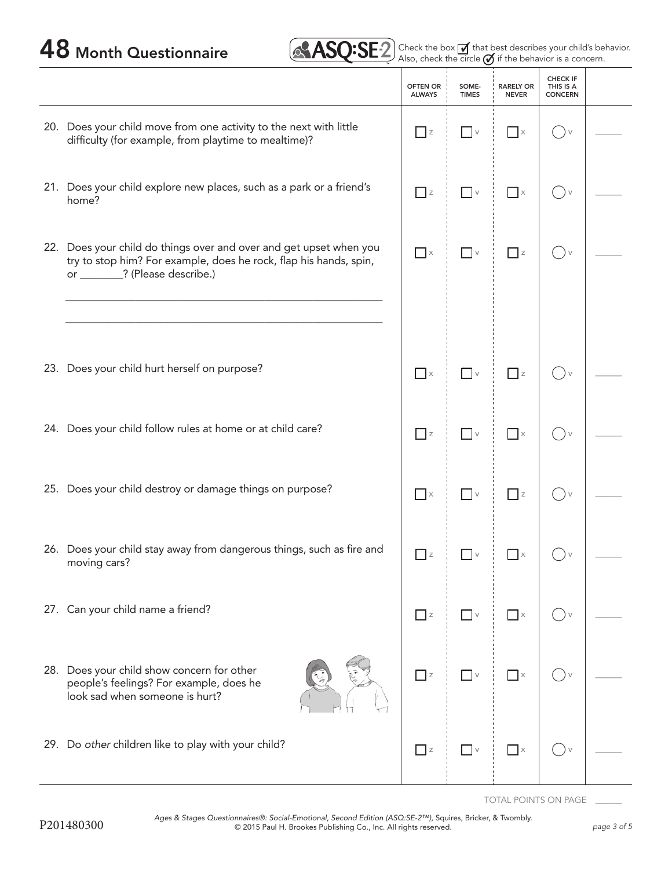| 48 Month Questionnaire | $\left(\sqrt{31.512}\right)$ Check the box $\overline{1}$ that best describes your child's behavior. |
|------------------------|------------------------------------------------------------------------------------------------------|
|------------------------|------------------------------------------------------------------------------------------------------|

|                                                                                                                                                                            | <b>OFTEN OR</b><br><b>ALWAYS</b> | SOME-<br><b>TIMES</b>           | <b>RARELY OR</b><br><b>NEVER</b> | <b>CHECK IF</b><br>THIS IS A<br><b>CONCERN</b> |  |
|----------------------------------------------------------------------------------------------------------------------------------------------------------------------------|----------------------------------|---------------------------------|----------------------------------|------------------------------------------------|--|
| 20. Does your child move from one activity to the next with little<br>difficulty (for example, from playtime to mealtime)?                                                 | $\Box$ z                         | $\Box$ v                        | $\Box$ x                         | $\vee$                                         |  |
| 21. Does your child explore new places, such as a park or a friend's<br>home?                                                                                              | $\Box$ z                         | $\Box$ v                        | $\Box$ $\times$                  | $\vee$<br>in 19                                |  |
| 22. Does your child do things over and over and get upset when you<br>try to stop him? For example, does he rock, flap his hands, spin,<br>or ________? (Please describe.) | $\overline{\phantom{a}}$ x       | $\overline{\phantom{a}}$ v      | $\overline{z}$                   | $\vee$                                         |  |
|                                                                                                                                                                            |                                  |                                 |                                  |                                                |  |
| 23. Does your child hurt herself on purpose?                                                                                                                               | $\hfill \blacksquare$ $\times$   | $\overline{\phantom{a}}$ v      | $\Box$ z                         |                                                |  |
| 24. Does your child follow rules at home or at child care?                                                                                                                 | $\Box$ z                         | $\Box$ v                        | $\Box$ x                         | $\rightarrow$                                  |  |
| 25. Does your child destroy or damage things on purpose?                                                                                                                   | $\hfill \blacksquare$ $\times$   | $\hfill\ensuremath{\mathsf{V}}$ | $\Box$ z                         | $() \vee$                                      |  |
| 26. Does your child stay away from dangerous things, such as fire and<br>moving cars?                                                                                      | $\Box$ z                         | $\vee$                          |                                  |                                                |  |
| 27. Can your child name a friend?                                                                                                                                          | $\Box$ z                         | $\Box$ v                        | $\Box$ x                         |                                                |  |
| 28. Does your child show concern for other<br>people's feelings? For example, does he<br>look sad when someone is hurt?                                                    | $\Box$ z                         | $\hfill\ensuremath{\mathsf{V}}$ | $\overline{\phantom{a}}$ x       | $\vee$                                         |  |
| 29. Do other children like to play with your child?                                                                                                                        | $\Box$ z                         | $\overline{\phantom{a}}$ v      | $\Box$ x                         | $\vee$                                         |  |

TOTAL POINTS ON PAGE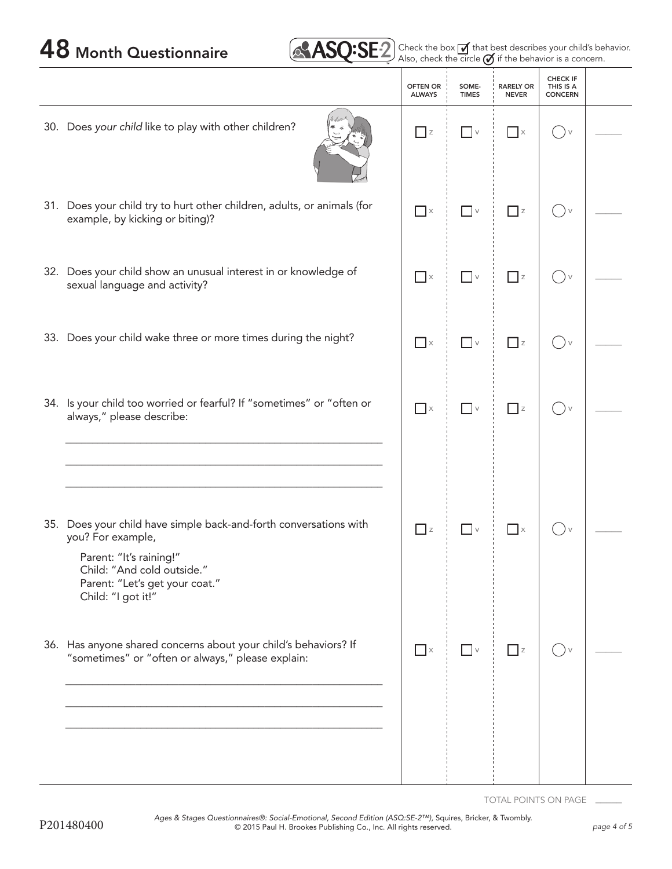

48 Month Questionnaire **2 Check the box of that best describes your child's behavior.** 

|                                                                                                                                                                                                         | <b>OFTEN OR</b><br><b>ALWAYS</b> | SOME-<br><b>TIMES</b>           | <b>RARELY OR</b><br><b>NEVER</b> | <b>CHECK IF</b><br>THIS IS A<br><b>CONCERN</b>  |  |
|---------------------------------------------------------------------------------------------------------------------------------------------------------------------------------------------------------|----------------------------------|---------------------------------|----------------------------------|-------------------------------------------------|--|
| 30. Does your child like to play with other children?                                                                                                                                                   | $\Box$ z                         | $\overline{\phantom{a}}$ v      | $\Box$ x                         | $( )$ v                                         |  |
| 31. Does your child try to hurt other children, adults, or animals (for<br>example, by kicking or biting)?                                                                                              | $\overline{\phantom{a}}$ x       | $\hfill\ensuremath{\mathsf{V}}$ | $\Box$ z                         | $\left( \begin{array}{c} \end{array} \right)$ v |  |
| 32. Does your child show an unusual interest in or knowledge of<br>sexual language and activity?                                                                                                        | $\overline{\phantom{a}}$ x       | $\hfill\ensuremath{\mathsf{V}}$ | $\Box$ z                         | $() \vee$                                       |  |
| 33. Does your child wake three or more times during the night?                                                                                                                                          | $\overline{\phantom{a}}$ x       | $\overline{\phantom{a}}$ v      | $\Box$ z                         | $( )_v$                                         |  |
| 34. Is your child too worried or fearful? If "sometimes" or "often or<br>always," please describe:                                                                                                      | $\overline{\phantom{a}}$ x       | $\hfill\ensuremath{\mathsf{V}}$ | $\Box$ z                         | $() \vee$                                       |  |
| 35. Does your child have simple back-and-forth conversations with<br>you? For example,<br>Parent: "It's raining!"<br>Child: "And cold outside."<br>Parent: "Let's get your coat."<br>Child: "I got it!" | $\Box$ z                         | $\overline{\phantom{a}}$ v      | $\mathsf{L}$                     |                                                 |  |
| 36. Has anyone shared concerns about your child's behaviors? If<br>"sometimes" or "often or always," please explain:                                                                                    | $\blacksquare$ $\times$          | $\overline{\phantom{a}}$ v      | $\Box$ z                         | $\rightarrow$                                   |  |

TOTAL POINTS ON PAGE \_\_\_\_\_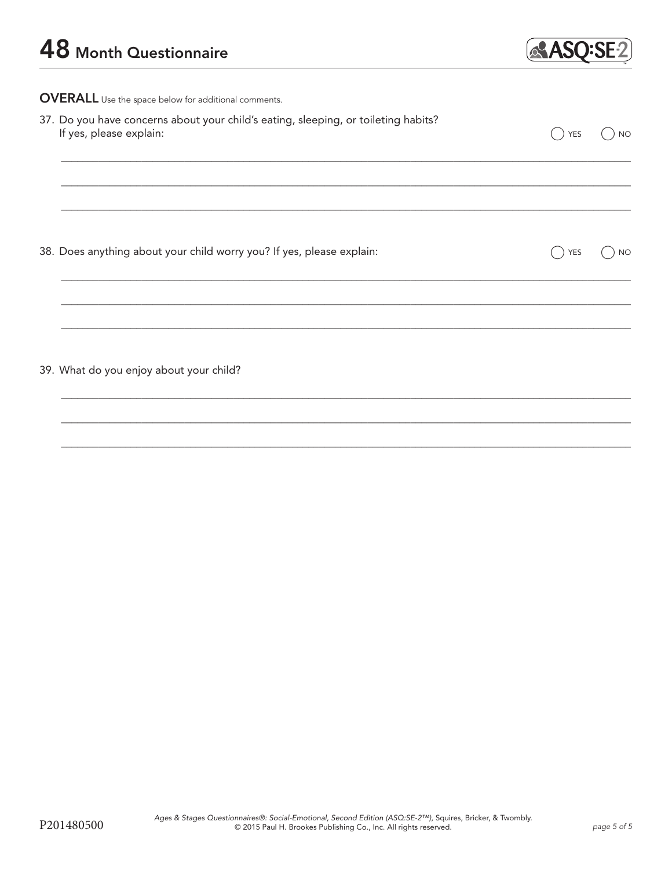

OVERALL Use the space below for additional comments.

| 37. Do you have concerns about your child's eating, sleeping, or toileting habits?<br>If yes, please explain: | <b>YES</b> | <b>NO</b> |
|---------------------------------------------------------------------------------------------------------------|------------|-----------|
|                                                                                                               |            |           |
| 38. Does anything about your child worry you? If yes, please explain:                                         | <b>YES</b> | <b>NO</b> |
| 39. What do you enjoy about your child?                                                                       |            |           |
|                                                                                                               |            |           |